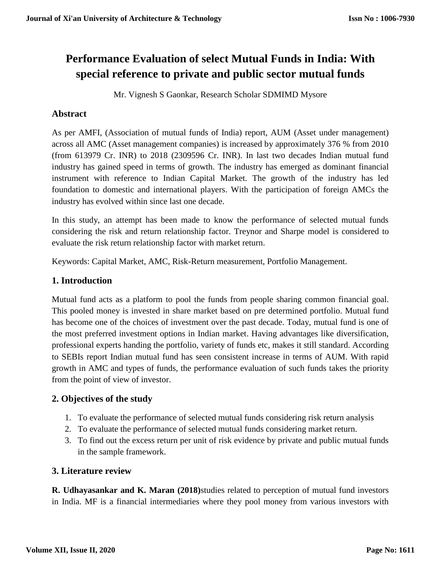# **Performance Evaluation of select Mutual Funds in India: With special reference to private and public sector mutual funds**

Mr. Vignesh S Gaonkar, Research Scholar SDMIMD Mysore

# **Abstract**

As per AMFI, (Association of mutual funds of India) report, AUM (Asset under management) across all AMC (Asset management companies) is increased by approximately 376 % from 2010 (from 613979 Cr. INR) to 2018 (2309596 Cr. INR). In last two decades Indian mutual fund industry has gained speed in terms of growth. The industry has emerged as dominant financial instrument with reference to Indian Capital Market. The growth of the industry has led foundation to domestic and international players. With the participation of foreign AMCs the industry has evolved within since last one decade.

In this study, an attempt has been made to know the performance of selected mutual funds considering the risk and return relationship factor. Treynor and Sharpe model is considered to evaluate the risk return relationship factor with market return.

Keywords: Capital Market, AMC, Risk-Return measurement, Portfolio Management.

# **1. Introduction**

Mutual fund acts as a platform to pool the funds from people sharing common financial goal. This pooled money is invested in share market based on pre determined portfolio. Mutual fund has become one of the choices of investment over the past decade. Today, mutual fund is one of the most preferred investment options in Indian market. Having advantages like diversification, professional experts handing the portfolio, variety of funds etc, makes it still standard. According to SEBIs report Indian mutual fund has seen consistent increase in terms of AUM. With rapid growth in AMC and types of funds, the performance evaluation of such funds takes the priority from the point of view of investor.

## **2. Objectives of the study**

- 1. To evaluate the performance of selected mutual funds considering risk return analysis
- 2. To evaluate the performance of selected mutual funds considering market return.
- 3. To find out the excess return per unit of risk evidence by private and public mutual funds in the sample framework.

## **3. Literature review**

**R. Udhayasankar and K. Maran (2018)**studies related to perception of mutual fund investors in India. MF is a financial intermediaries where they pool money from various investors with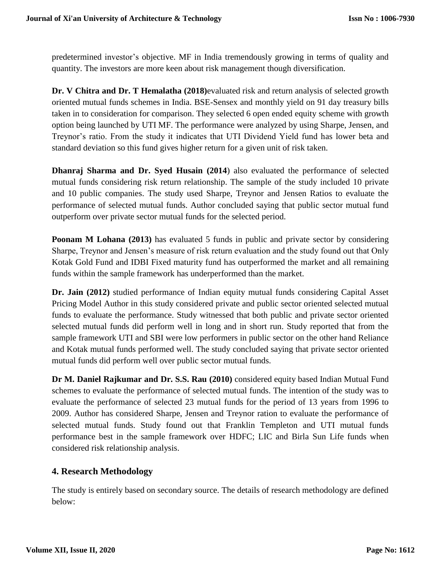predetermined investor's objective. MF in India tremendously growing in terms of quality and quantity. The investors are more keen about risk management though diversification.

**Dr. V Chitra and Dr. T Hemalatha (2018)**evaluated risk and return analysis of selected growth oriented mutual funds schemes in India. BSE-Sensex and monthly yield on 91 day treasury bills taken in to consideration for comparison. They selected 6 open ended equity scheme with growth option being launched by UTI MF. The performance were analyzed by using Sharpe, Jensen, and Treynor's ratio. From the study it indicates that UTI Dividend Yield fund has lower beta and standard deviation so this fund gives higher return for a given unit of risk taken.

**Dhanraj Sharma and Dr. Syed Husain (2014**) also evaluated the performance of selected mutual funds considering risk return relationship. The sample of the study included 10 private and 10 public companies. The study used Sharpe, Treynor and Jensen Ratios to evaluate the performance of selected mutual funds. Author concluded saying that public sector mutual fund outperform over private sector mutual funds for the selected period.

**Poonam M Lohana (2013)** has evaluated 5 funds in public and private sector by considering Sharpe, Treynor and Jensen's measure of risk return evaluation and the study found out that Only Kotak Gold Fund and IDBI Fixed maturity fund has outperformed the market and all remaining funds within the sample framework has underperformed than the market.

**Dr. Jain (2012)** studied performance of Indian equity mutual funds considering Capital Asset Pricing Model Author in this study considered private and public sector oriented selected mutual funds to evaluate the performance. Study witnessed that both public and private sector oriented selected mutual funds did perform well in long and in short run. Study reported that from the sample framework UTI and SBI were low performers in public sector on the other hand Reliance and Kotak mutual funds performed well. The study concluded saying that private sector oriented mutual funds did perform well over public sector mutual funds.

**Dr M. Daniel Rajkumar and Dr. S.S. Rau (2010)** considered equity based Indian Mutual Fund schemes to evaluate the performance of selected mutual funds. The intention of the study was to evaluate the performance of selected 23 mutual funds for the period of 13 years from 1996 to 2009. Author has considered Sharpe, Jensen and Treynor ration to evaluate the performance of selected mutual funds. Study found out that Franklin Templeton and UTI mutual funds performance best in the sample framework over HDFC; LIC and Birla Sun Life funds when considered risk relationship analysis.

## **4. Research Methodology**

The study is entirely based on secondary source. The details of research methodology are defined below: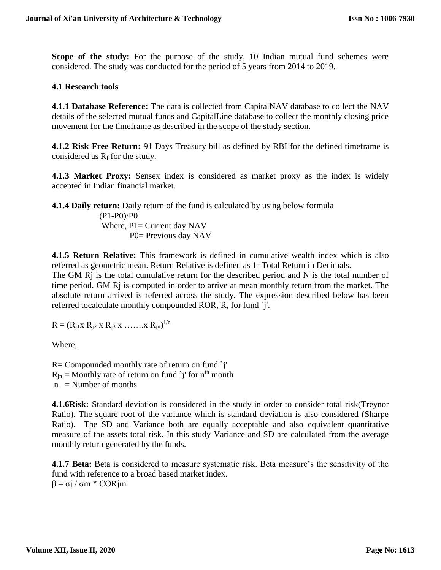**Scope of the study:** For the purpose of the study, 10 Indian mutual fund schemes were considered. The study was conducted for the period of 5 years from 2014 to 2019.

#### **4.1 Research tools**

**4.1.1 Database Reference:** The data is collected from CapitalNAV database to collect the NAV details of the selected mutual funds and CapitalLine database to collect the monthly closing price movement for the timeframe as described in the scope of the study section.

**4.1.2 Risk Free Return:** 91 Days Treasury bill as defined by RBI for the defined timeframe is considered as  $R_f$  for the study.

**4.1.3 Market Proxy:** Sensex index is considered as market proxy as the index is widely accepted in Indian financial market.

**4.1.4 Daily return:** Daily return of the fund is calculated by using below formula

 (P1-P0)/P0 Where,  $P1 =$  Current day NAV P0= Previous day NAV

**4.1.5 Return Relative:** This framework is defined in cumulative wealth index which is also referred as geometric mean. Return Relative is defined as 1+Total Return in Decimals.

The GM R<sub>j</sub> is the total cumulative return for the described period and N is the total number of time period. GM Rj is computed in order to arrive at mean monthly return from the market. The absolute return arrived is referred across the study. The expression described below has been referred tocalculate monthly compounded ROR, R, for fund `j'.

 $R = (R_{j1} \times R_{j2} \times R_{j3} \times \ldots \ldots \times R_{jn})^{1/n}$ 

Where,

R= Compounded monthly rate of return on fund `j'  $R_{jn}$  = Monthly rate of return on fund `j' for n<sup>th</sup> month  $n =$  Number of months

**4.1.6Risk:** Standard deviation is considered in the study in order to consider total risk(Treynor Ratio). The square root of the variance which is standard deviation is also considered (Sharpe Ratio). The SD and Variance both are equally acceptable and also equivalent quantitative measure of the assets total risk. In this study Variance and SD are calculated from the average monthly return generated by the funds.

**4.1.7 Beta:** Beta is considered to measure systematic risk. Beta measure's the sensitivity of the fund with reference to a broad based market index. β = σj / σm \* CORjm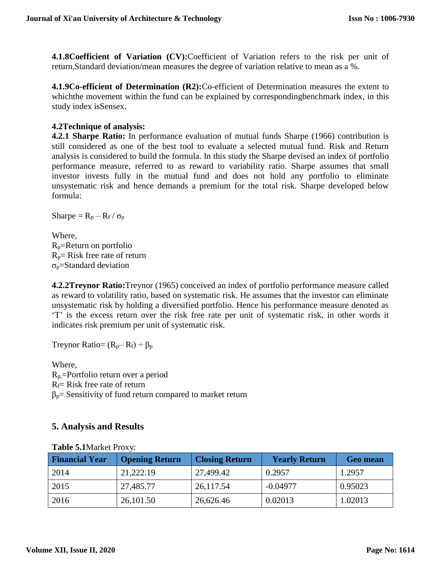**4.1.8Coefficient of Variation (CV):**Coefficient of Variation refers to the risk per unit of return.Standard deviation/mean measures the degree of variation relative to mean as a %.

**4.1.9Co-efficient of Determination (R2):**Co-efficient of Determination measures the extent to whichthe movement within the fund can be explained by correspondingbenchmark index, in this study index isSensex.

## **4.2Technique of analysis:**

**4.2.1 Sharpe Ratio:** In performance evaluation of mutual funds Sharpe (1966) contribution is still considered as one of the best tool to evaluate a selected mutual fund. Risk and Return analysis is considered to build the formula. In this study the Sharpe devised an index of portfolio performance measure, referred to as reward to variability ratio. Sharpe assumes that small investor invests fully in the mutual fund and does not hold any portfolio to eliminate unsystematic risk and hence demands a premium for the total risk. Sharpe developed below formula:

Sharpe =  $R_p - R_f / \sigma_p$ 

Where, Rp=Return on portfolio  $R_p$ = Risk free rate of return  $\sigma_p =$ Standard deviation

**4.2.2Treynor Ratio:**Treynor (1965) conceived an index of portfolio performance measure called as reward to volatility ratio, based on systematic risk. He assumes that the investor can eliminate unsystematic risk by holding a diversified portfolio. Hence his performance measure denoted as 'T' is the excess return over the risk free rate per unit of systematic risk, in other words it indicates risk premium per unit of systematic risk.

Treynor Ratio=  $(R_p - R_f) \div \beta_p$ 

Where, Rp,=Portfolio return over a period  $R_f$ = Risk free rate of return  $\beta_p$ = Sensitivity of fund return compared to market return

## **5. Analysis and Results**

| <b>THOIC CITIMATION I TON T.</b> |                       |                       |                      |                 |  |  |
|----------------------------------|-----------------------|-----------------------|----------------------|-----------------|--|--|
| <b>Financial Year</b>            | <b>Opening Return</b> | <b>Closing Return</b> | <b>Yearly Return</b> | <b>Geo mean</b> |  |  |
| 2014                             | 21,222.19             | 27,499.42             | 0.2957               | 1.2957          |  |  |
| 2015                             | 27,485.77             | 26,117.54             | $-0.04977$           | 0.95023         |  |  |
| 2016                             | 26,101.50             | 26,626.46             | 0.02013              | 1.02013         |  |  |

#### **Table 5.1**Market Proxy: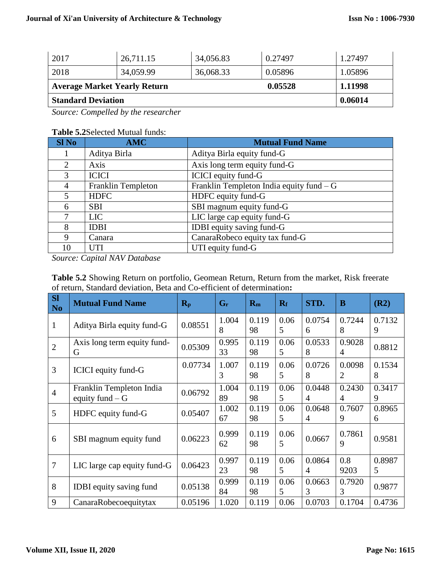| <b>Standard Deviation</b>           |           |           |         | 0.06014 |
|-------------------------------------|-----------|-----------|---------|---------|
| <b>Average Market Yearly Return</b> |           | 0.05528   | 1.11998 |         |
| 2018                                | 34,059.99 | 36,068.33 | 0.05896 | 1.05896 |
| 2017                                | 26,711.15 | 34,056.83 | 0.27497 | 1.27497 |

*Source: Compelled by the researcher* 

#### **Table 5.2**Selected Mutual funds:

| <b>Sl No</b>   | <b>AMC</b>         | <b>Mutual Fund Name</b>                   |
|----------------|--------------------|-------------------------------------------|
|                | Aditya Birla       | Aditya Birla equity fund-G                |
| 2              | Axis               | Axis long term equity fund-G              |
| 3              | <b>ICICI</b>       | <b>ICICI</b> equity fund-G                |
| 4              | Franklin Templeton | Franklin Templeton India equity fund $-G$ |
| $\overline{5}$ | <b>HDFC</b>        | HDFC equity fund-G                        |
| 6              | <b>SBI</b>         | SBI magnum equity fund-G                  |
| 7              | <b>LIC</b>         | LIC large cap equity fund-G               |
| 8              | <b>IDBI</b>        | IDBI equity saving fund-G                 |
| 9              | Canara             | CanaraRobeco equity tax fund-G            |
| 10             | <b>UTI</b>         | UTI equity fund-G                         |

*Source: Capital NAV Database* 

| <b>SI</b><br>N <sub>o</sub> | <b>Mutual Fund Name</b>                      | $R_{p}$ | $G_r$       | $R_m$       | $R_f$     | STD.                     | B                        | (R2)        |
|-----------------------------|----------------------------------------------|---------|-------------|-------------|-----------|--------------------------|--------------------------|-------------|
| $\mathbf{1}$                | Aditya Birla equity fund-G                   | 0.08551 | 1.004<br>8  | 0.119<br>98 | 0.06<br>5 | 0.0754<br>6              | 0.7244<br>8              | 0.7132<br>9 |
| $\overline{2}$              | Axis long term equity fund-<br>G             | 0.05309 | 0.995<br>33 | 0.119<br>98 | 0.06<br>5 | 0.0533<br>8              | 0.9028<br>4              | 0.8812      |
| 3                           | ICICI equity fund-G                          | 0.07734 | 1.007<br>3  | 0.119<br>98 | 0.06<br>5 | 0.0726<br>8              | 0.0098<br>$\overline{2}$ | 0.1534<br>8 |
| $\overline{4}$              | Franklin Templeton India<br>equity fund $-G$ | 0.06792 | 1.004<br>89 | 0.119<br>98 | 0.06<br>5 | 0.0448<br>$\overline{4}$ | 0.2430<br>4              | 0.3417<br>9 |
| 5                           | HDFC equity fund-G                           | 0.05407 | 1.002<br>67 | 0.119<br>98 | 0.06<br>5 | 0.0648<br>$\overline{4}$ | 0.7607<br>9              | 0.8965<br>6 |
| 6                           | SBI magnum equity fund                       | 0.06223 | 0.999<br>62 | 0.119<br>98 | 0.06<br>5 | 0.0667                   | 0.7861<br>9              | 0.9581      |
| 7                           | LIC large cap equity fund-G                  | 0.06423 | 0.997<br>23 | 0.119<br>98 | 0.06<br>5 | 0.0864<br>4              | 0.8<br>9203              | 0.8987<br>5 |
| 8                           | <b>IDBI</b> equity saving fund               | 0.05138 | 0.999<br>84 | 0.119<br>98 | 0.06<br>5 | 0.0663<br>3              | 0.7920<br>3              | 0.9877      |
| 9                           | CanaraRobecoequitytax                        | 0.05196 | 1.020       | 0.119       | 0.06      | 0.0703                   | 0.1704                   | 0.4736      |

**Table 5.2** Showing Return on portfolio, Geomean Return, Return from the market, Risk freerate of return, Standard deviation, Beta and Co-efficient of determination**:**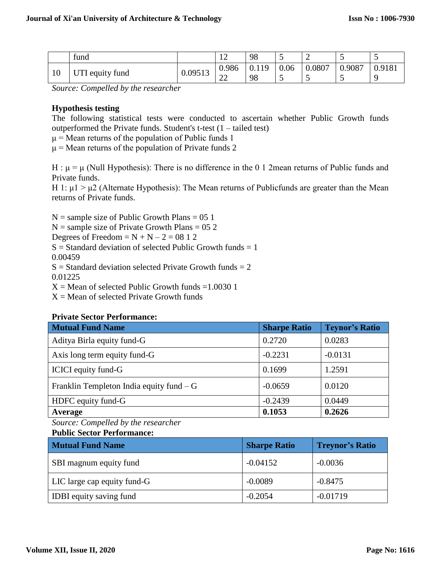|    | fund            |         | 1 <sub>0</sub><br>┸   | 98          | <b>100</b>         |        | ັ           | -      |
|----|-----------------|---------|-----------------------|-------------|--------------------|--------|-------------|--------|
| 10 | JTI equity fund | 0.09513 | 0.986<br>$\sim$<br>∠∠ | 0.119<br>98 | 0.06<br><b>100</b> | 0.0807 | 0.9087<br>ັ | 0.9181 |

*Source: Compelled by the researcher* 

#### **Hypothesis testing**

The following statistical tests were conducted to ascertain whether Public Growth funds outperformed the Private funds. Student's t-test (1 – tailed test)

 $\mu$  = Mean returns of the population of Public funds 1

 $\mu$  = Mean returns of the population of Private funds 2

H :  $\mu = \mu$  (Null Hypothesis): There is no difference in the 0 1 2mean returns of Public funds and Private funds.

H 1:  $\mu$ 1 >  $\mu$ 2 (Alternate Hypothesis): The Mean returns of Publicfunds are greater than the Mean returns of Private funds.

 $N =$  sample size of Public Growth Plans = 05 1  $N =$  sample size of Private Growth Plans = 05 2 Degrees of Freedom  $=N+N-2=08$  1 2  $S =$  Standard deviation of selected Public Growth funds  $= 1$ 0.00459  $S =$  Standard deviation selected Private Growth funds  $= 2$ 0.01225  $X =$ Mean of selected Public Growth funds = 1.0030 1  $X =$  Mean of selected Private Growth funds

#### **Private Sector Performance:**

| <b>Mutual Fund Name</b>                   | <b>Sharpe Ratio</b> | <b>Teynor's Ratio</b> |
|-------------------------------------------|---------------------|-----------------------|
| Aditya Birla equity fund-G                | 0.2720              | 0.0283                |
| Axis long term equity fund-G              | $-0.2231$           | $-0.0131$             |
| ICICI equity fund-G                       | 0.1699              | 1.2591                |
| Franklin Templeton India equity fund $-G$ | $-0.0659$           | 0.0120                |
| HDFC equity fund-G                        | $-0.2439$           | 0.0449                |
| Average                                   | 0.1053              | 0.2626                |

*Source: Compelled by the researcher* 

#### **Public Sector Performance:**

| <b>Mutual Fund Name</b>        | <b>Sharpe Ratio</b> | <b>Treynor's Ratio</b> |
|--------------------------------|---------------------|------------------------|
| SBI magnum equity fund         | $-0.04152$          | $-0.0036$              |
| LIC large cap equity fund-G    | $-0.0089$           | $-0.8475$              |
| <b>IDBI</b> equity saving fund | $-0.2054$           | $-0.01719$             |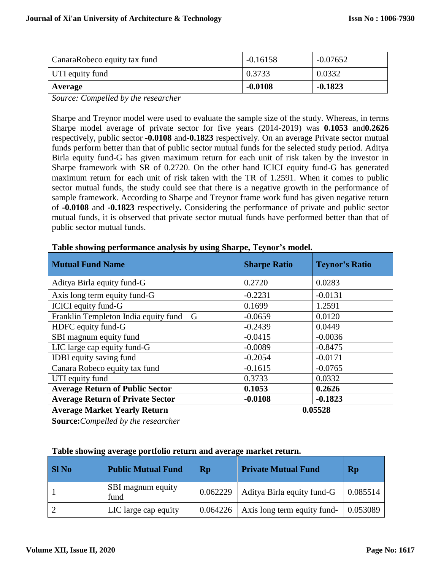| CanaraRobeco equity tax fund | $-0.16158$ | $-0.07652$ |
|------------------------------|------------|------------|
| UTI equity fund              | 0.3733     | 0.0332     |
| Average                      | $-0.0108$  | $-0.1823$  |

*Source: Compelled by the researcher* 

Sharpe and Treynor model were used to evaluate the sample size of the study. Whereas, in terms Sharpe model average of private sector for five years (2014-2019) was **0.1053** and**0.2626**  respectively, public sector **-0.0108** and**-0.1823** respectively. On an average Private sector mutual funds perform better than that of public sector mutual funds for the selected study period. Aditya Birla equity fund-G has given maximum return for each unit of risk taken by the investor in Sharpe framework with SR of 0.2720. On the other hand ICICI equity fund-G has generated maximum return for each unit of risk taken with the TR of 1.2591. When it comes to public sector mutual funds, the study could see that there is a negative growth in the performance of sample framework. According to Sharpe and Treynor frame work fund has given negative return of **-0.0108** and **-0.1823** respectively**.** Considering the performance of private and public sector mutual funds, it is observed that private sector mutual funds have performed better than that of public sector mutual funds.

| Table showing performance analysis by using bilar pe, Teynor's mouch |                     |                       |  |  |
|----------------------------------------------------------------------|---------------------|-----------------------|--|--|
| <b>Mutual Fund Name</b>                                              | <b>Sharpe Ratio</b> | <b>Teynor's Ratio</b> |  |  |
| Aditya Birla equity fund-G                                           | 0.2720              | 0.0283                |  |  |
| Axis long term equity fund-G                                         | $-0.2231$           | $-0.0131$             |  |  |
| <b>ICICI</b> equity fund-G                                           | 0.1699              | 1.2591                |  |  |
| Franklin Templeton India equity fund $-G$                            | $-0.0659$           | 0.0120                |  |  |
| HDFC equity fund-G                                                   | $-0.2439$           | 0.0449                |  |  |
| SBI magnum equity fund                                               | $-0.0415$           | $-0.0036$             |  |  |
| LIC large cap equity fund-G                                          | $-0.0089$           | $-0.8475$             |  |  |
| <b>IDBI</b> equity saving fund                                       | $-0.2054$           | $-0.0171$             |  |  |
| Canara Robeco equity tax fund                                        | $-0.1615$           | $-0.0765$             |  |  |
| UTI equity fund                                                      | 0.3733              | 0.0332                |  |  |
| <b>Average Return of Public Sector</b>                               | 0.1053              | 0.2626                |  |  |
| <b>Average Return of Private Sector</b>                              | $-0.0108$           | $-0.1823$             |  |  |
| <b>Average Market Yearly Return</b>                                  |                     | 0.05528               |  |  |

#### **Table showing performance analysis by using Sharpe, Teynor's model.**

**Source:***Compelled by the researcher* 

#### **Table showing average portfolio return and average market return.**

| <b>SI</b> No | <b>Public Mutual Fund</b> | Rp       | <b>Private Mutual Fund</b>  | <b>Rp</b> |
|--------------|---------------------------|----------|-----------------------------|-----------|
|              | SBI magnum equity<br>fund | 0.062229 | Aditya Birla equity fund-G  | 0.085514  |
|              | LIC large cap equity      | 0.064226 | Axis long term equity fund- | 0.053089  |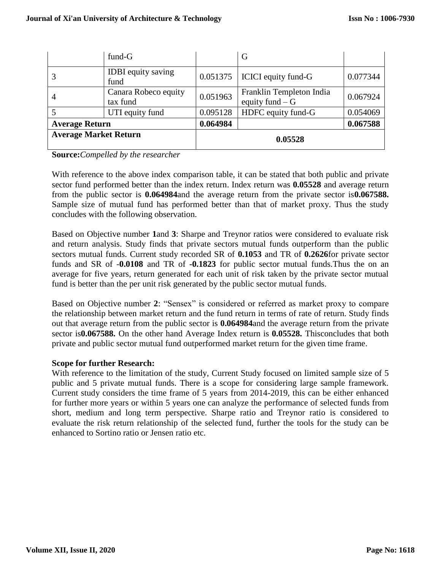|                              | $fund-G$                          |          | G                                            |          |
|------------------------------|-----------------------------------|----------|----------------------------------------------|----------|
|                              | <b>IDBI</b> equity saving<br>fund | 0.051375 | <b>ICICI</b> equity fund-G                   | 0.077344 |
| $\overline{4}$               | Canara Robeco equity<br>tax fund  | 0.051963 | Franklin Templeton India<br>equity fund $-G$ | 0.067924 |
|                              | UTI equity fund                   | 0.095128 | HDFC equity fund-G                           | 0.054069 |
| <b>Average Return</b>        |                                   | 0.064984 |                                              | 0.067588 |
| <b>Average Market Return</b> |                                   |          | 0.05528                                      |          |

**Source:***Compelled by the researcher*

With reference to the above index comparison table, it can be stated that both public and private sector fund performed better than the index return. Index return was **0.05528** and average return from the public sector is **0.064984**and the average return from the private sector is**0.067588.**  Sample size of mutual fund has performed better than that of market proxy. Thus the study concludes with the following observation.

Based on Objective number **1**and **3**: Sharpe and Treynor ratios were considered to evaluate risk and return analysis. Study finds that private sectors mutual funds outperform than the public sectors mutual funds. Current study recorded SR of **0.1053** and TR of **0.2626**for private sector funds and SR of -**0.0108** and TR of **-0.1823** for public sector mutual funds.Thus the on an average for five years, return generated for each unit of risk taken by the private sector mutual fund is better than the per unit risk generated by the public sector mutual funds.

Based on Objective number **2**: "Sensex" is considered or referred as market proxy to compare the relationship between market return and the fund return in terms of rate of return. Study finds out that average return from the public sector is **0.064984**and the average return from the private sector is**0.067588.** On the other hand Average Index return is **0.05528.** Thisconcludes that both private and public sector mutual fund outperformed market return for the given time frame.

#### **Scope for further Research:**

With reference to the limitation of the study, Current Study focused on limited sample size of 5 public and 5 private mutual funds. There is a scope for considering large sample framework. Current study considers the time frame of 5 years from 2014-2019, this can be either enhanced for further more years or within 5 years one can analyze the performance of selected funds from short, medium and long term perspective. Sharpe ratio and Treynor ratio is considered to evaluate the risk return relationship of the selected fund, further the tools for the study can be enhanced to Sortino ratio or Jensen ratio etc.